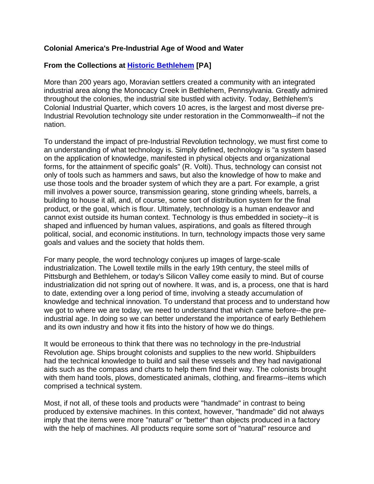## **Colonial America's Pre-Industrial Age of Wood and Water**

# **[From the Collections at H](http://www.historicbethlehem.org/)istoric Bethlehe[m \[PA\]](http://www.historicbethlehem.org/)**

More than 200 years ago, Moravian settlers created a community with an integrated industrial area along the Monocacy Creek in Bethlehem, Pennsylvania. Greatly admired throughout the colonies, the industrial site bustled with activity. Today, Bethlehem's Colonial Industrial Quarter, which covers 10 acres, is the largest and most diverse pre-Industrial Revolution technology site under restoration in the Commonwealth--if not the nation.

To understand the impact of pre-Industrial Revolution technology, we must first come to an understanding of what technology is. Simply defined, technology is "a system based on the application of knowledge, manifested in physical objects and organizational forms, for the attainment of specific goals" (R. Volti). Thus, technology can consist not only of tools such as hammers and saws, but also the knowledge of how to make and use those tools and the broader system of which they are a part. For example, a grist mill involves a power source, transmission gearing, stone grinding wheels, barrels, a building to house it all, and, of course, some sort of distribution system for the final product, or the goal, which is flour. Ultimately, technology is a human endeavor and cannot exist outside its human context. Technology is thus embedded in society--it is shaped and influenced by human values, aspirations, and goals as filtered through political, social, and economic institutions. In turn, technology impacts those very same goals and values and the society that holds them.

For many people, the word technology conjures up images of large-scale industrialization. The Lowell textile mills in the early 19th century, the steel mills of Pittsburgh and Bethlehem, or today's Silicon Valley come easily to mind. But of course industrialization did not spring out of nowhere. It was, and is, a process, one that is hard to date, extending over a long period of time, involving a steady accumulation of knowledge and technical innovation. To understand that process and to understand how we got to where we are today, we need to understand that which came before--the preindustrial age. In doing so we can better understand the importance of early Bethlehem and its own industry and how it fits into the history of how we do things.

It would be erroneous to think that there was no technology in the pre-Industrial Revolution age. Ships brought colonists and supplies to the new world. Shipbuilders had the technical knowledge to build and sail these vessels and they had navigational aids such as the compass and charts to help them find their way. The colonists brought with them hand tools, plows, domesticated animals, clothing, and firearms--items which comprised a technical system.

Most, if not all, of these tools and products were "handmade" in contrast to being produced by extensive machines. In this context, however, "handmade" did not always imply that the items were more "natural" or "better" than objects produced in a factory with the help of machines. All products require some sort of "natural" resource and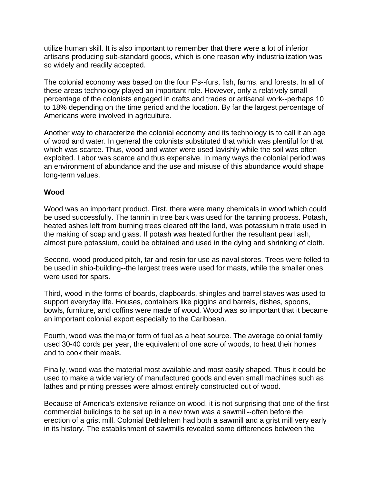utilize human skill. It is also important to remember that there were a lot of inferior artisans producing sub-standard goods, which is one reason why industrialization was so widely and readily accepted.

The colonial economy was based on the four F's--furs, fish, farms, and forests. In all of these areas technology played an important role. However, only a relatively small percentage of the colonists engaged in crafts and trades or artisanal work--perhaps 10 to 18% depending on the time period and the location. By far the largest percentage of Americans were involved in agriculture.

Another way to characterize the colonial economy and its technology is to call it an age of wood and water. In general the colonists substituted that which was plentiful for that which was scarce. Thus, wood and water were used lavishly while the soil was often exploited. Labor was scarce and thus expensive. In many ways the colonial period was an environment of abundance and the use and misuse of this abundance would shape long-term values.

### **Wood**

Wood was an important product. First, there were many chemicals in wood which could be used successfully. The tannin in tree bark was used for the tanning process. Potash, heated ashes left from burning trees cleared off the land, was potassium nitrate used in the making of soap and glass. If potash was heated further the resultant pearl ash, almost pure potassium, could be obtained and used in the dying and shrinking of cloth.

Second, wood produced pitch, tar and resin for use as naval stores. Trees were felled to be used in ship-building--the largest trees were used for masts, while the smaller ones were used for spars.

Third, wood in the forms of boards, clapboards, shingles and barrel staves was used to support everyday life. Houses, containers like piggins and barrels, dishes, spoons, bowls, furniture, and coffins were made of wood. Wood was so important that it became an important colonial export especially to the Caribbean.

Fourth, wood was the major form of fuel as a heat source. The average colonial family used 30-40 cords per year, the equivalent of one acre of woods, to heat their homes and to cook their meals.

Finally, wood was the material most available and most easily shaped. Thus it could be used to make a wide variety of manufactured goods and even small machines such as lathes and printing presses were almost entirely constructed out of wood.

Because of America's extensive reliance on wood, it is not surprising that one of the first commercial buildings to be set up in a new town was a sawmill--often before the erection of a grist mill. Colonial Bethlehem had both a sawmill and a grist mill very early in its history. The establishment of sawmills revealed some differences between the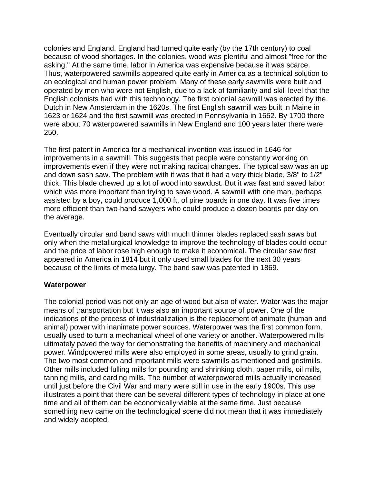colonies and England. England had turned quite early (by the 17th century) to coal because of wood shortages. In the colonies, wood was plentiful and almost "free for the asking." At the same time, labor in America was expensive because it was scarce. Thus, waterpowered sawmills appeared quite early in America as a technical solution to an ecological and human power problem. Many of these early sawmills were built and operated by men who were not English, due to a lack of familiarity and skill level that the English colonists had with this technology. The first colonial sawmill was erected by the Dutch in New Amsterdam in the 1620s. The first English sawmill was built in Maine in 1623 or 1624 and the first sawmill was erected in Pennsylvania in 1662. By 1700 there were about 70 waterpowered sawmills in New England and 100 years later there were 250.

The first patent in America for a mechanical invention was issued in 1646 for improvements in a sawmill. This suggests that people were constantly working on improvements even if they were not making radical changes. The typical saw was an up and down sash saw. The problem with it was that it had a very thick blade, 3/8" to 1/2" thick. This blade chewed up a lot of wood into sawdust. But it was fast and saved labor which was more important than trying to save wood. A sawmill with one man, perhaps assisted by a boy, could produce 1,000 ft. of pine boards in one day. It was five times more efficient than two-hand sawyers who could produce a dozen boards per day on the average.

Eventually circular and band saws with much thinner blades replaced sash saws but only when the metallurgical knowledge to improve the technology of blades could occur and the price of labor rose high enough to make it economical. The circular saw first appeared in America in 1814 but it only used small blades for the next 30 years because of the limits of metallurgy. The band saw was patented in 1869.

### **Waterpower**

The colonial period was not only an age of wood but also of water. Water was the major means of transportation but it was also an important source of power. One of the indications of the process of industrialization is the replacement of animate (human and animal) power with inanimate power sources. Waterpower was the first common form, usually used to turn a mechanical wheel of one variety or another. Waterpowered mills ultimately paved the way for demonstrating the benefits of machinery and mechanical power. Windpowered mills were also employed in some areas, usually to grind grain. The two most common and important mills were sawmills as mentioned and gristmills. Other mills included fulling mills for pounding and shrinking cloth, paper mills, oil mills, tanning mills, and carding mills. The number of waterpowered mills actually increased until just before the Civil War and many were still in use in the early 1900s. This use illustrates a point that there can be several different types of technology in place at one time and all of them can be economically viable at the same time. Just because something new came on the technological scene did not mean that it was immediately and widely adopted.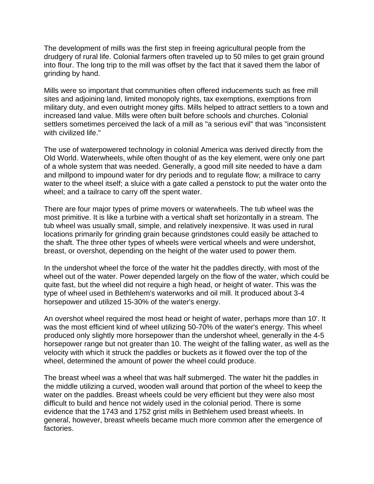The development of mills was the first step in freeing agricultural people from the drudgery of rural life. Colonial farmers often traveled up to 50 miles to get grain ground into flour. The long trip to the mill was offset by the fact that it saved them the labor of grinding by hand.

Mills were so important that communities often offered inducements such as free mill sites and adjoining land, limited monopoly rights, tax exemptions, exemptions from military duty, and even outright money gifts. Mills helped to attract settlers to a town and increased land value. Mills were often built before schools and churches. Colonial settlers sometimes perceived the lack of a mill as "a serious evil" that was "inconsistent with civilized life."

The use of waterpowered technology in colonial America was derived directly from the Old World. Waterwheels, while often thought of as the key element, were only one part of a whole system that was needed. Generally, a good mill site needed to have a dam and millpond to impound water for dry periods and to regulate flow; a millrace to carry water to the wheel itself; a sluice with a gate called a penstock to put the water onto the wheel; and a tailrace to carry off the spent water.

There are four major types of prime movers or waterwheels. The tub wheel was the most primitive. It is like a turbine with a vertical shaft set horizontally in a stream. The tub wheel was usually small, simple, and relatively inexpensive. It was used in rural locations primarily for grinding grain because grindstones could easily be attached to the shaft. The three other types of wheels were vertical wheels and were undershot, breast, or overshot, depending on the height of the water used to power them.

In the undershot wheel the force of the water hit the paddles directly, with most of the wheel out of the water. Power depended largely on the flow of the water, which could be quite fast, but the wheel did not require a high head, or height of water. This was the type of wheel used in Bethlehem's waterworks and oil mill. It produced about 3-4 horsepower and utilized 15-30% of the water's energy.

An overshot wheel required the most head or height of water, perhaps more than 10'. It was the most efficient kind of wheel utilizing 50-70% of the water's energy. This wheel produced only slightly more horsepower than the undershot wheel, generally in the 4-5 horsepower range but not greater than 10. The weight of the falling water, as well as the velocity with which it struck the paddles or buckets as it flowed over the top of the wheel, determined the amount of power the wheel could produce.

The breast wheel was a wheel that was half submerged. The water hit the paddles in the middle utilizing a curved, wooden wall around that portion of the wheel to keep the water on the paddles. Breast wheels could be very efficient but they were also most difficult to build and hence not widely used in the colonial period. There is some evidence that the 1743 and 1752 grist mills in Bethlehem used breast wheels. In general, however, breast wheels became much more common after the emergence of factories.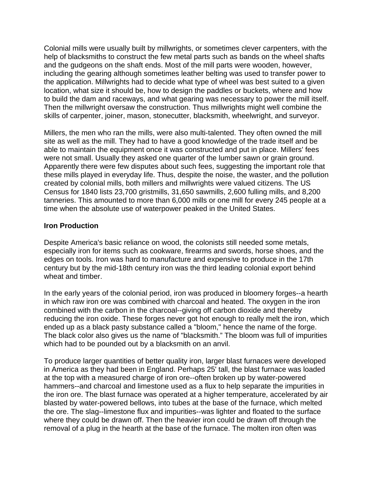Colonial mills were usually built by millwrights, or sometimes clever carpenters, with the help of blacksmiths to construct the few metal parts such as bands on the wheel shafts and the gudgeons on the shaft ends. Most of the mill parts were wooden, however, including the gearing although sometimes leather belting was used to transfer power to the application. Millwrights had to decide what type of wheel was best suited to a given location, what size it should be, how to design the paddles or buckets, where and how to build the dam and raceways, and what gearing was necessary to power the mill itself. Then the millwright oversaw the construction. Thus millwrights might well combine the skills of carpenter, joiner, mason, stonecutter, blacksmith, wheelwright, and surveyor.

Millers, the men who ran the mills, were also multi-talented. They often owned the mill site as well as the mill. They had to have a good knowledge of the trade itself and be able to maintain the equipment once it was constructed and put in place. Millers' fees were not small. Usually they asked one quarter of the lumber sawn or grain ground. Apparently there were few disputes about such fees, suggesting the important role that these mills played in everyday life. Thus, despite the noise, the waster, and the pollution created by colonial mills, both millers and millwrights were valued citizens. The US Census for 1840 lists 23,700 gristmills, 31,650 sawmills, 2,600 fulling mills, and 8,200 tanneries. This amounted to more than 6,000 mills or one mill for every 245 people at a time when the absolute use of waterpower peaked in the United States.

#### **Iron Production**

Despite America's basic reliance on wood, the colonists still needed some metals, especially iron for items such as cookware, firearms and swords, horse shoes, and the edges on tools. Iron was hard to manufacture and expensive to produce in the 17th century but by the mid-18th century iron was the third leading colonial export behind wheat and timber.

In the early years of the colonial period, iron was produced in bloomery forges--a hearth in which raw iron ore was combined with charcoal and heated. The oxygen in the iron combined with the carbon in the charcoal--giving off carbon dioxide and thereby reducing the iron oxide. These forges never got hot enough to really melt the iron, which ended up as a black pasty substance called a "bloom," hence the name of the forge. The black color also gives us the name of "blacksmith." The bloom was full of impurities which had to be pounded out by a blacksmith on an anvil.

To produce larger quantities of better quality iron, larger blast furnaces were developed in America as they had been in England. Perhaps 25' tall, the blast furnace was loaded at the top with a measured charge of iron ore--often broken up by water-powered hammers--and charcoal and limestone used as a flux to help separate the impurities in the iron ore. The blast furnace was operated at a higher temperature, accelerated by air blasted by water-powered bellows, into tubes at the base of the furnace, which melted the ore. The slag--limestone flux and impurities--was lighter and floated to the surface where they could be drawn off. Then the heavier iron could be drawn off through the removal of a plug in the hearth at the base of the furnace. The molten iron often was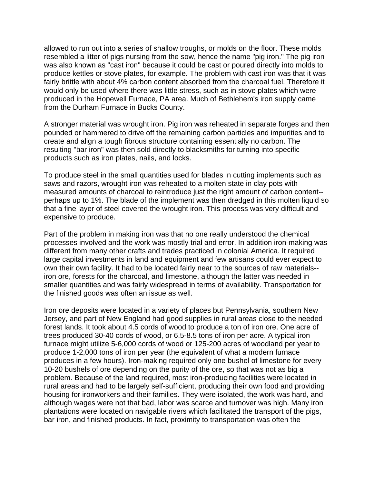allowed to run out into a series of shallow troughs, or molds on the floor. These molds resembled a litter of pigs nursing from the sow, hence the name "pig iron." The pig iron was also known as "cast iron" because it could be cast or poured directly into molds to produce kettles or stove plates, for example. The problem with cast iron was that it was fairly brittle with about 4% carbon content absorbed from the charcoal fuel. Therefore it would only be used where there was little stress, such as in stove plates which were produced in the Hopewell Furnace, PA area. Much of Bethlehem's iron supply came from the Durham Furnace in Bucks County.

A stronger material was wrought iron. Pig iron was reheated in separate forges and then pounded or hammered to drive off the remaining carbon particles and impurities and to create and align a tough fibrous structure containing essentially no carbon. The resulting "bar iron" was then sold directly to blacksmiths for turning into specific products such as iron plates, nails, and locks.

To produce steel in the small quantities used for blades in cutting implements such as saws and razors, wrought iron was reheated to a molten state in clay pots with measured amounts of charcoal to reintroduce just the right amount of carbon content- perhaps up to 1%. The blade of the implement was then dredged in this molten liquid so that a fine layer of steel covered the wrought iron. This process was very difficult and expensive to produce.

Part of the problem in making iron was that no one really understood the chemical processes involved and the work was mostly trial and error. In addition iron-making was different from many other crafts and trades practiced in colonial America. It required large capital investments in land and equipment and few artisans could ever expect to own their own facility. It had to be located fairly near to the sources of raw materials- iron ore, forests for the charcoal, and limestone, although the latter was needed in smaller quantities and was fairly widespread in terms of availability. Transportation for the finished goods was often an issue as well.

Iron ore deposits were located in a variety of places but Pennsylvania, southern New Jersey, and part of New England had good supplies in rural areas close to the needed forest lands. It took about 4.5 cords of wood to produce a ton of iron ore. One acre of trees produced 30-40 cords of wood, or 6.5-8.5 tons of iron per acre. A typical iron furnace might utilize 5-6,000 cords of wood or 125-200 acres of woodland per year to produce 1-2,000 tons of iron per year (the equivalent of what a modern furnace produces in a few hours). Iron-making required only one bushel of limestone for every 10-20 bushels of ore depending on the purity of the ore, so that was not as big a problem. Because of the land required, most iron-producing facilities were located in rural areas and had to be largely self-sufficient, producing their own food and providing housing for ironworkers and their families. They were isolated, the work was hard, and although wages were not that bad, labor was scarce and turnover was high. Many iron plantations were located on navigable rivers which facilitated the transport of the pigs, bar iron, and finished products. In fact, proximity to transportation was often the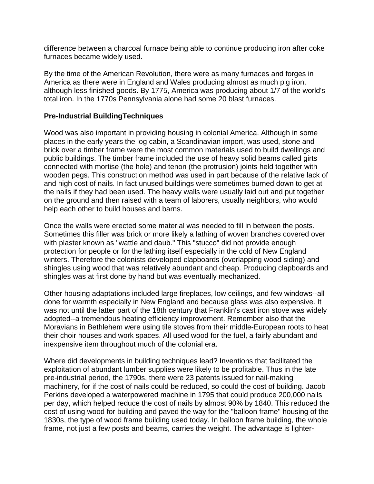difference between a charcoal furnace being able to continue producing iron after coke furnaces became widely used.

By the time of the American Revolution, there were as many furnaces and forges in America as there were in England and Wales producing almost as much pig iron, although less finished goods. By 1775, America was producing about 1/7 of the world's total iron. In the 1770s Pennsylvania alone had some 20 blast furnaces.

## **Pre-Industrial BuildingTechniques**

Wood was also important in providing housing in colonial America. Although in some places in the early years the log cabin, a Scandinavian import, was used, stone and brick over a timber frame were the most common materials used to build dwellings and public buildings. The timber frame included the use of heavy solid beams called girts connected with mortise (the hole) and tenon (the protrusion) joints held together with wooden pegs. This construction method was used in part because of the relative lack of and high cost of nails. In fact unused buildings were sometimes burned down to get at the nails if they had been used. The heavy walls were usually laid out and put together on the ground and then raised with a team of laborers, usually neighbors, who would help each other to build houses and barns.

Once the walls were erected some material was needed to fill in between the posts. Sometimes this filler was brick or more likely a lathing of woven branches covered over with plaster known as "wattle and daub." This "stucco" did not provide enough protection for people or for the lathing itself especially in the cold of New England winters. Therefore the colonists developed clapboards (overlapping wood siding) and shingles using wood that was relatively abundant and cheap. Producing clapboards and shingles was at first done by hand but was eventually mechanized.

Other housing adaptations included large fireplaces, low ceilings, and few windows--all done for warmth especially in New England and because glass was also expensive. It was not until the latter part of the 18th century that Franklin's cast iron stove was widely adopted--a tremendous heating efficiency improvement. Remember also that the Moravians in Bethlehem were using tile stoves from their middle-European roots to heat their choir houses and work spaces. All used wood for the fuel, a fairly abundant and inexpensive item throughout much of the colonial era.

Where did developments in building techniques lead? Inventions that facilitated the exploitation of abundant lumber supplies were likely to be profitable. Thus in the late pre-industrial period, the 1790s, there were 23 patents issued for nail-making machinery, for if the cost of nails could be reduced, so could the cost of building. Jacob Perkins developed a waterpowered machine in 1795 that could produce 200,000 nails per day, which helped reduce the cost of nails by almost 90% by 1840. This reduced the cost of using wood for building and paved the way for the "balloon frame" housing of the 1830s, the type of wood frame building used today. In balloon frame building, the whole frame, not just a few posts and beams, carries the weight. The advantage is lighter-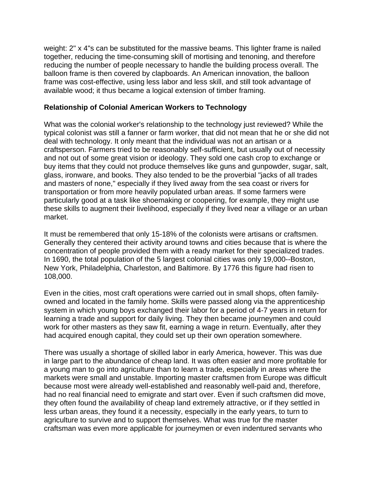weight: 2" x 4"s can be substituted for the massive beams. This lighter frame is nailed together, reducing the time-consuming skill of mortising and tenoning, and therefore reducing the number of people necessary to handle the building process overall. The balloon frame is then covered by clapboards. An American innovation, the balloon frame was cost-effective, using less labor and less skill, and still took advantage of available wood; it thus became a logical extension of timber framing.

### **Relationship of Colonial American Workers to Technology**

What was the colonial worker's relationship to the technology just reviewed? While the typical colonist was still a fanner or farm worker, that did not mean that he or she did not deal with technology. It only meant that the individual was not an artisan or a craftsperson. Farmers tried to be reasonably self-sufficient, but usually out of necessity and not out of some great vision or ideology. They sold one cash crop to exchange or buy items that they could not produce themselves like guns and gunpowder, sugar, salt, glass, ironware, and books. They also tended to be the proverbial "jacks of all trades and masters of none," especially if they lived away from the sea coast or rivers for transportation or from more heavily populated urban areas. If some farmers were particularly good at a task like shoemaking or coopering, for example, they might use these skills to augment their livelihood, especially if they lived near a village or an urban market.

It must be remembered that only 15-18% of the colonists were artisans or craftsmen. Generally they centered their activity around towns and cities because that is where the concentration of people provided them with a ready market for their specialized trades. In 1690, the total population of the 5 largest colonial cities was only 19,000--Boston, New York, Philadelphia, Charleston, and Baltimore. By 1776 this figure had risen to 108,000.

Even in the cities, most craft operations were carried out in small shops, often familyowned and located in the family home. Skills were passed along via the apprenticeship system in which young boys exchanged their labor for a period of 4-7 years in return for learning a trade and support for daily living. They then became journeymen and could work for other masters as they saw fit, earning a wage in return. Eventually, after they had acquired enough capital, they could set up their own operation somewhere.

There was usually a shortage of skilled labor in early America, however. This was due in large part to the abundance of cheap land. It was often easier and more profitable for a young man to go into agriculture than to learn a trade, especially in areas where the markets were small and unstable. Importing master craftsmen from Europe was difficult because most were already well-established and reasonably well-paid and, therefore, had no real financial need to emigrate and start over. Even if such craftsmen did move, they often found the availability of cheap land extremely attractive, or if they settled in less urban areas, they found it a necessity, especially in the early years, to turn to agriculture to survive and to support themselves. What was true for the master craftsman was even more applicable for journeymen or even indentured servants who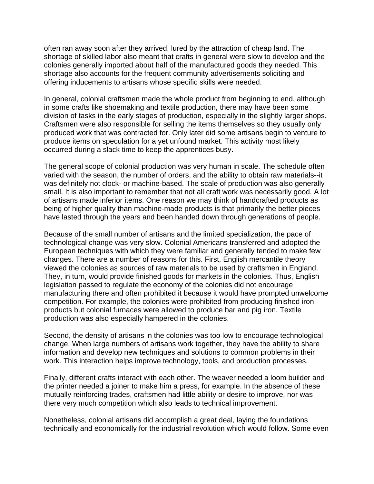often ran away soon after they arrived, lured by the attraction of cheap land. The shortage of skilled labor also meant that crafts in general were slow to develop and the colonies generally imported about half of the manufactured goods they needed. This shortage also accounts for the frequent community advertisements soliciting and offering inducements to artisans whose specific skills were needed.

In general, colonial craftsmen made the whole product from beginning to end, although in some crafts like shoemaking and textile production, there may have been some division of tasks in the early stages of production, especially in the slightly larger shops. Craftsmen were also responsible for selling the items themselves so they usually only produced work that was contracted for. Only later did some artisans begin to venture to produce items on speculation for a yet unfound market. This activity most likely occurred during a slack time to keep the apprentices busy.

The general scope of colonial production was very human in scale. The schedule often varied with the season, the number of orders, and the ability to obtain raw materials--it was definitely not clock- or machine-based. The scale of production was also generally small. It is also important to remember that not all craft work was necessarily good. A lot of artisans made inferior items. One reason we may think of handcrafted products as being of higher quality than machine-made products is that primarily the better pieces have lasted through the years and been handed down through generations of people.

Because of the small number of artisans and the limited specialization, the pace of technological change was very slow. Colonial Americans transferred and adopted the European techniques with which they were familiar and generally tended to make few changes. There are a number of reasons for this. First, English mercantile theory viewed the colonies as sources of raw materials to be used by craftsmen in England. They, in turn, would provide finished goods for markets in the colonies. Thus, English legislation passed to regulate the economy of the colonies did not encourage manufacturing there and often prohibited it because it would have prompted unwelcome competition. For example, the colonies were prohibited from producing finished iron products but colonial furnaces were allowed to produce bar and pig iron. Textile production was also especially hampered in the colonies.

Second, the density of artisans in the colonies was too low to encourage technological change. When large numbers of artisans work together, they have the ability to share information and develop new techniques and solutions to common problems in their work. This interaction helps improve technology, tools, and production processes.

Finally, different crafts interact with each other. The weaver needed a loom builder and the printer needed a joiner to make him a press, for example. In the absence of these mutually reinforcing trades, craftsmen had little ability or desire to improve, nor was there very much competition which also leads to technical improvement.

Nonetheless, colonial artisans did accomplish a great deal, laying the foundations technically and economically for the industrial revolution which would follow. Some even